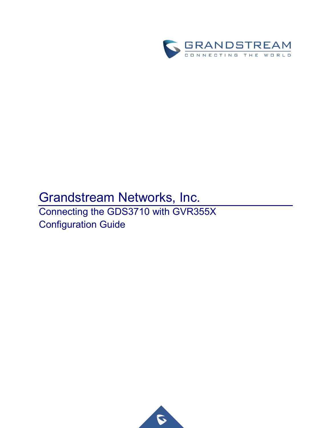

# Grandstream Networks, Inc.

Connecting the GDS3710 with GVR355X Configuration Guide

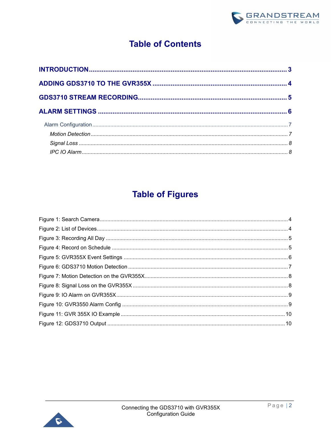

# **Table of Contents**

## **Table of Figures**

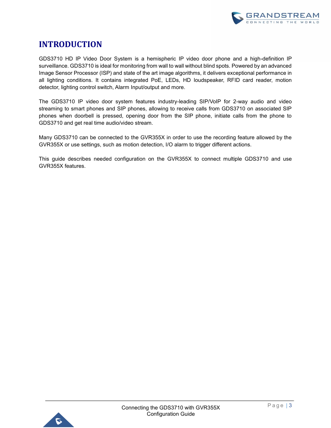

### <span id="page-2-0"></span>**INTRODUCTION**

GDS3710 HD IP Video Door System is a hemispheric IP video door phone and a high-definition IP surveillance. GDS3710 is ideal for monitoring from wall to wall without blind spots. Powered by an advanced Image Sensor Processor (ISP) and state of the art image algorithms, it delivers exceptional performance in all lighting conditions. It contains integrated PoE, LEDs, HD loudspeaker, RFID card reader, motion detector, lighting control switch, Alarm Input/output and more.

The GDS3710 IP video door system features industry-leading SIP/VoIP for 2-way audio and video streaming to smart phones and SIP phones, allowing to receive calls from GDS3710 on associated SIP phones when doorbell is pressed, opening door from the SIP phone, initiate calls from the phone to GDS3710 and get real time audio/video stream.

Many GDS3710 can be connected to the GVR355X in order to use the recording feature allowed by the GVR355X or use settings, such as motion detection, I/O alarm to trigger different actions.

This guide describes needed configuration on the GVR355X to connect multiple GDS3710 and use GVR355X features.

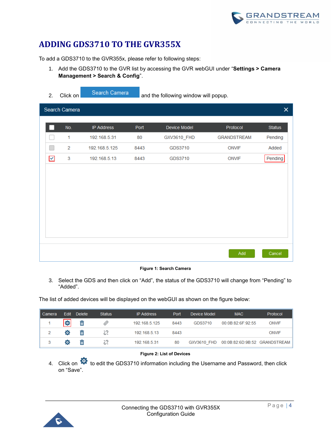### <span id="page-3-0"></span>**ADDING GDS3710 TO THE GVR355X**

To add a GDS3710 to the GVR355x, please refer to following steps:

- 1. Add the GDS3710 to the GVR list by accessing the GVR webGUI under "**Settings > Camera Management > Search & Config**".
- 2. Click on **Search Camera** and the following window will popup. Search Camera  $\overline{\mathsf{x}}$ No. **IP Address** Port Device Model Protocol **Status**  $\overline{1}$ 192.168.5.31 80 GXV3610 FHD **GRANDSTREAM** Pending  $\Box$  $\overline{2}$ GDS3710 192.168.5.125 8443 **ONVIF** Added  $\overline{\mathsf{v}}$ 3 192.168.5.13 8443 GDS3710 **ONVIF** Pending Add Cancel

#### **Figure 1: Search Camera**

<span id="page-3-1"></span>3. Select the GDS and then click on "Add", the status of the GDS3710 will change from "Pending" to "Added".

The list of added devices will be displayed on the webGUI as shown on the figure below:

| I Camera | <b>Edit</b> | <b>Delete</b> | <b>Status</b> | <b>IP Address</b> | Port | Device Model | <b>MAC</b>                    | Protocol     |
|----------|-------------|---------------|---------------|-------------------|------|--------------|-------------------------------|--------------|
|          | ø           | 面             | €             | 192.168.5.125     | 8443 | GDS3710      | 00:0B:82:6F:92:55             | <b>ONVIF</b> |
|          | o           | 亩             |               | 192.168.5.13      | 8443 |              |                               | <b>ONVIF</b> |
|          | o           | 面             |               | 192.168.5.31      | 80   | GXV3610 FHD  | 00:0B:82:6D:9B:52 GRANDSTREAM |              |

#### **Figure 2: List of Devices**

<span id="page-3-2"></span>4. Click on  $\bullet$  to edit the GDS3710 information including the Username and Password, then click on "Save".

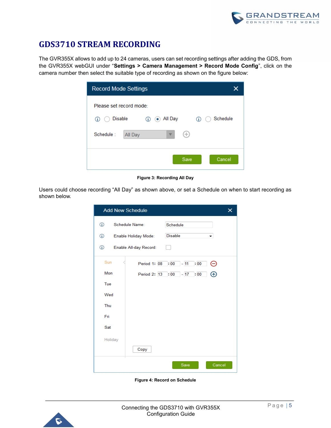

### <span id="page-4-0"></span>**GDS3710 STREAM RECORDING**

The GVR355X allows to add up to 24 cameras, users can set recording settings after adding the GDS, from the GVR355X webGUI under "**Settings > Camera Management > Record Mode Config**", click on the camera number then select the suitable type of recording as shown on the figure below:

| <b>Record Mode Settings</b>                                              |               |
|--------------------------------------------------------------------------|---------------|
| Please set record mode:<br><b>Disable</b><br><b>(i)</b> (o) All Day<br>⊕ | Schedule<br>⊕ |
| Schedule:<br>Ð<br>All Day                                                |               |
| Save                                                                     | Cancel        |

**Figure 3: Recording All Day**

<span id="page-4-1"></span>Users could choose recording "All Day" as shown above, or set a Schedule on when to start recording as shown below.

|         | <b>Add New Schedule</b> |                                  | × |
|---------|-------------------------|----------------------------------|---|
| ⊕       | Schedule Name:          | Schedule                         |   |
| ⊕       | Enable Holiday Mode:    | <b>Disable</b><br>▼              |   |
| ⊕       | Enable All-day Record:  |                                  |   |
| Sun     | Period 1:08             | Θ<br>$\cdot 00$<br>$-11$<br>: 00 |   |
| Mon     | Period 2: 13            | $\cdot 00 - 17$<br>: 00<br>⊕     |   |
| Tue     |                         |                                  |   |
| Wed     |                         |                                  |   |
| Thu     |                         |                                  |   |
| Fri     |                         |                                  |   |
| Sat     |                         |                                  |   |
| Holiday |                         |                                  |   |
|         | Copy                    |                                  |   |
|         |                         | Cancel<br>Save                   |   |

**Figure 4: Record on Schedule**

<span id="page-4-2"></span>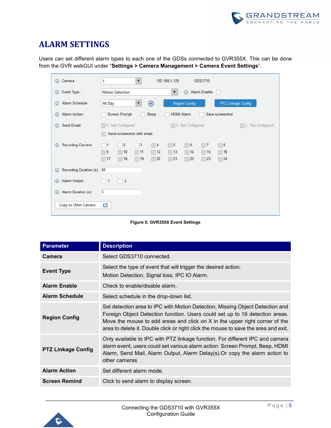

### <span id="page-5-0"></span>**ALARM SETTINGS**

Users can set different alarm types to each one of the GDSs connected to GVR355X. This can be done from the GVR webGUI under "**Settings > Camera Management > Camera Event Settings**".

| Camera:<br>⊕                          | 192.168.5.125<br>GDS3710<br>1<br>$\overline{\mathbf{v}}$                                                                                                 |
|---------------------------------------|----------------------------------------------------------------------------------------------------------------------------------------------------------|
| Event Type:<br>$\odot$                | Alarm Enable:<br><b>Motion Detection</b><br>⊕<br>$\blacktriangledown$                                                                                    |
| Alarm Schedule:<br>⊕                  | $\oplus$<br>PTZ Linkage Config<br>All Day<br><b>Region Config</b><br>$\blacktriangledown$                                                                |
| <b>Alarm Action:</b><br>⊕             | <b>Screen Prompt</b><br>Beep<br><b>HDMI Alarm</b><br>Save screenshot                                                                                     |
| Send Email:<br>$\bigcirc$             | 1. Not Configured<br>2. Not Configured<br>3. Not Configured                                                                                              |
|                                       | Send screenshot with email                                                                                                                               |
| Recording Camera:<br>$\bigcirc$       | $\overline{\phantom{a}}$ 3<br>15<br>$\overline{2}$<br>6<br>Γ 8<br>$\Box$ 4<br>$\Box$ 7<br>$\blacksquare$ 1<br>n.                                         |
|                                       | $\blacksquare$ 9<br>$\Box$ 13<br>$\Box$ 10<br>12<br> 14<br>15<br>16<br>$\Box$ 11<br>H<br>l.<br>L.<br>21<br>20<br>22<br>23<br>$\Box$ 24<br>17<br>18<br>19 |
| Recording Duration (s): 60<br>$\odot$ |                                                                                                                                                          |
| Alarm Output:<br>$\odot$              | $\overline{2}$<br>$\Box$ 1                                                                                                                               |
| Alarm Duration (s):<br>$\odot$        | 5                                                                                                                                                        |
| Copy to Other Camera                  | 凹                                                                                                                                                        |



<span id="page-5-1"></span>

| <b>Parameter</b>          | <b>Description</b>                                                                                                                                                                                                                                                                                                                  |
|---------------------------|-------------------------------------------------------------------------------------------------------------------------------------------------------------------------------------------------------------------------------------------------------------------------------------------------------------------------------------|
| Camera                    | Select GDS3710 connected.                                                                                                                                                                                                                                                                                                           |
| <b>Event Type</b>         | Select the type of event that will trigger the desired action.<br>Motion Detection, Signal loss, IPC IO Alarm.                                                                                                                                                                                                                      |
| <b>Alarm Enable</b>       | Check to enable/disable alarm.                                                                                                                                                                                                                                                                                                      |
| <b>Alarm Schedule</b>     | Select schedule in the drop-down list.                                                                                                                                                                                                                                                                                              |
| <b>Region Config</b>      | Set detection area to IPC with Motion Detection, Missing Object Detection and<br>Foreign Object Detection function. Users could set up to 16 detection areas.<br>Move the mouse to add areas and click on X in the upper right corner of the<br>area to delete it. Double click or right click the mouse to save the area and exit. |
| <b>PTZ Linkage Config</b> | Only available to IPC with PTZ linkage function. For different IPC and camera<br>alarm event, users could set various alarm action: Screen Prompt, Beep, HDMI<br>Alarm, Send Mail, Alarm Output, Alarm Delay(s). Or copy the alarm action to<br>other cameras                                                                       |
| <b>Alarm Action</b>       | Set different alarm mode.                                                                                                                                                                                                                                                                                                           |
| <b>Screen Remind</b>      | Click to send alarm to display screen.                                                                                                                                                                                                                                                                                              |

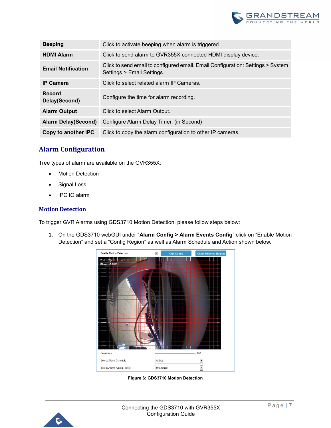

| <b>Beeping</b>                 | Click to activate beeping when alarm is triggered.                                                            |
|--------------------------------|---------------------------------------------------------------------------------------------------------------|
| <b>HDMI Alarm</b>              | Click to send alarm to GVR355X connected HDMI display device.                                                 |
| <b>Email Notification</b>      | Click to send email to configured email. Email Configuration: Settings > System<br>Settings > Email Settings. |
| <b>IP Camera</b>               | Click to select related alarm IP Cameras.                                                                     |
| <b>Record</b><br>Delay(Second) | Configure the time for alarm recording.                                                                       |
| <b>Alarm Output</b>            | Click to select Alarm Output.                                                                                 |
| <b>Alarm Delay(Second)</b>     | Configure Alarm Delay Timer. (in Second)                                                                      |
| Copy to another IPC            | Click to copy the alarm configuration to other IP cameras.                                                    |

### <span id="page-6-0"></span>**Alarm Configuration**

Tree types of alarm are available on the GVR355X:

- **Motion Detection**
- Signal Loss
- IPC IO alarm

#### <span id="page-6-1"></span>**Motion Detection**

To trigger GVR Alarms using GDS3710 Motion Detection, please follow steps below:

1. On the GDS3710 webGUI under "**Alarm Config > Alarm Events Config**" click on "Enable Motion Detection" and set a "Config Region" as well as Alarm Schedule and Action shown below.



**Figure 6: GDS3710 Motion Detection**

<span id="page-6-2"></span>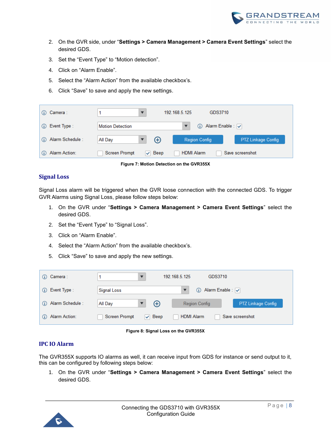

- 2. On the GVR side, under "**Settings > Camera Management > Camera Event Settings**" select the desired GDS.
- 3. Set the "Event Type" to "Motion detection".
- 4. Click on "Alarm Enable".
- 5. Select the "Alarm Action" from the available checkbox's.
- 6. Click "Save" to save and apply the new settings.

| Camera :                    | 192 168 5 125                                                               |
|-----------------------------|-----------------------------------------------------------------------------|
| G)                          | GDS3710                                                                     |
| Event Type:                 | 1 Alarm Enable : v                                                          |
| (i)                         | <b>Motion Detection</b>                                                     |
| Alarm Schedule:<br>$\omega$ | $^\circledR$<br>PTZ Linkage Config<br>All Day<br>Region Config              |
| Alarm Action:<br>$\omega$   | <b>HDMI Alarm</b><br><b>Screen Prompt</b><br>$\vee$ Beep<br>Save screenshot |

**Figure 7: Motion Detection on the GVR355X**

### <span id="page-7-2"></span><span id="page-7-0"></span>**Signal Loss**

Signal Loss alarm will be triggered when the GVR loose connection with the connected GDS. To trigger GVR Alarms using Signal Loss, please follow steps below:

- 1. On the GVR under "**Settings > Camera Management > Camera Event Settings**" select the desired GDS.
- 2. Set the "Event Type" to "Signal Loss".
- 3. Click on "Alarm Enable".
- 4. Select the "Alarm Action" from the available checkbox's.
- 5. Click "Save" to save and apply the new settings.

| Camera :<br>(i)                  | 192.168.5.125<br>GDS3710                                                        |                           |
|----------------------------------|---------------------------------------------------------------------------------|---------------------------|
| Event Type:<br>(i)               | Alarm Enable : √<br>Signal Loss<br>G)                                           |                           |
| Alarm Schedule :<br>G)           | ⊕<br>All Day<br>Region Config                                                   | <b>PTZ Linkage Config</b> |
| <b>Alarm Action:</b><br>$\omega$ | <b>HDMI Alarm</b><br><b>Screen Prompt</b><br>$\sqrt{ }$ Beep<br>Save screenshot |                           |

**Figure 8: Signal Loss on the GVR355X**

#### <span id="page-7-3"></span><span id="page-7-1"></span>**IPC IO Alarm**

The GVR355X supports IO alarms as well, it can receive input from GDS for instance or send output to it, this can be configured by following steps below:

1. On the GVR under "**Settings > Camera Management > Camera Event Settings**" select the desired GDS.

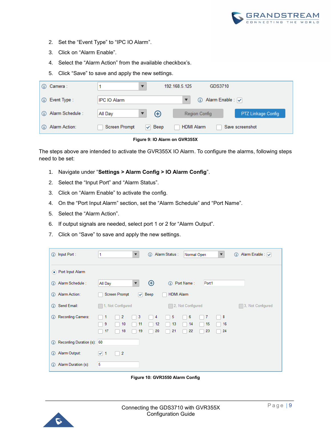

- 2. Set the "Event Type" to "IPC IO Alarm".
- 3. Click on "Alarm Enable".
- 4. Select the "Alarm Action" from the available checkbox's.
- 5. Click "Save" to save and apply the new settings.

| Camera :<br>G)             |                                              | 192.168.5.125<br>GDS3710             |
|----------------------------|----------------------------------------------|--------------------------------------|
| Event Type:<br>G)          | <b>IPC IO Alarm</b>                          | (i) Alarm Enable : v                 |
| Alarm Schedule:<br>G)      | ⊕<br>All Day                                 | PTZ Linkage Config<br>Region Config  |
| <b>Alarm Action:</b><br>G) | <b>Screen Prompt</b><br>$\triangledown$ Beep | <b>HDMI Alarm</b><br>Save screenshot |
|                            |                                              |                                      |

**Figure 9: IO Alarm on GVR355X**

<span id="page-8-0"></span>The steps above are intended to activate the GVR355X IO Alarm. To configure the alarms, following steps need to be set:

- 1. Navigate under "**Settings > Alarm Config > IO Alarm Config**".
- 2. Select the "Input Port" and "Alarm Status".
- 3. Click on "Alarm Enable" to activate the config.
- 4. On the "Port Input Alarm" section, set the "Alarm Schedule" and "Port Name".
- 5. Select the "Alarm Action".
- 6. If output signals are needed, select port 1 or 2 for "Alarm Output".
- 7. Click on "Save" to save and apply the new settings.

| Input Port:<br>⊕                       | Alarm Status:<br>Alarm Enable : v<br>Normal Open<br>⊕<br>⊕<br>1<br>$\overline{\mathbf{v}}$<br>$\blacktriangledown$                  |
|----------------------------------------|-------------------------------------------------------------------------------------------------------------------------------------|
| • Port Input Alarm                     |                                                                                                                                     |
| Alarm Schedule:<br>$\odot$             | $_{\oplus}$<br>Port Name:<br>Port1<br>All Day<br>$\omega$<br>▼                                                                      |
| <b>Alarm Action:</b><br>$\odot$        | <b>HDMI Alarm</b><br><b>Screen Prompt</b><br>Beep<br>$\checkmark$                                                                   |
| Send Email:<br>$\odot$                 | 1. Not Configured<br>2. Not Configured<br>3. Not Configured                                                                         |
| Recording Camera:<br>$\odot$           | 3<br>2<br>5<br>6<br>8<br>7<br>1<br>4<br>9<br>13<br>10<br>11<br>12<br>14<br>15<br>16<br>22<br>17<br>19<br>20<br>21<br>23<br>24<br>18 |
| Recording Duration (s): 60<br>$\omega$ |                                                                                                                                     |
| Alarm Output:<br>$\odot$               | $\vert 2 \vert$<br>$\vee$ 1                                                                                                         |
| Alarm Duration (s):<br>$\omega$        | 5                                                                                                                                   |

**Figure 10: GVR3550 Alarm Config**

<span id="page-8-1"></span>